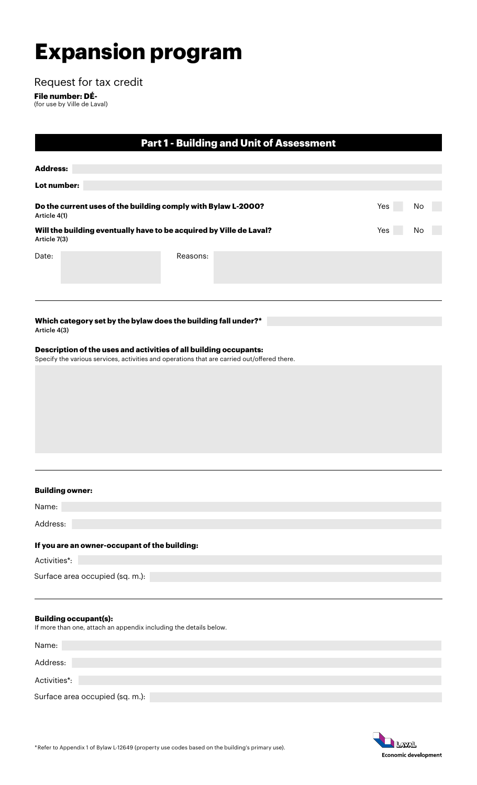# **Expansion program**

Request for tax credit

**File number: DÉ-** (for use by Ville de Laval)

|                                                                                     |                                                                                                                                                                  |          | <b>Part 1 - Building and Unit of Assessment</b> |  |  |     |    |  |
|-------------------------------------------------------------------------------------|------------------------------------------------------------------------------------------------------------------------------------------------------------------|----------|-------------------------------------------------|--|--|-----|----|--|
| <b>Address:</b>                                                                     |                                                                                                                                                                  |          |                                                 |  |  |     |    |  |
| Lot number:                                                                         |                                                                                                                                                                  |          |                                                 |  |  |     |    |  |
| Do the current uses of the building comply with Bylaw L-2000?<br>Article 4(1)       |                                                                                                                                                                  |          |                                                 |  |  | Yes | No |  |
| Will the building eventually have to be acquired by Ville de Laval?<br>Article 7(3) |                                                                                                                                                                  |          |                                                 |  |  | Yes | No |  |
| Date:                                                                               |                                                                                                                                                                  | Reasons: |                                                 |  |  |     |    |  |
| Article 4(3)                                                                        | Which category set by the bylaw does the building fall under?*                                                                                                   |          |                                                 |  |  |     |    |  |
|                                                                                     | Description of the uses and activities of all building occupants:<br>Specify the various services, activities and operations that are carried out/offered there. |          |                                                 |  |  |     |    |  |
|                                                                                     |                                                                                                                                                                  |          |                                                 |  |  |     |    |  |
|                                                                                     |                                                                                                                                                                  |          |                                                 |  |  |     |    |  |
|                                                                                     |                                                                                                                                                                  |          |                                                 |  |  |     |    |  |
|                                                                                     |                                                                                                                                                                  |          |                                                 |  |  |     |    |  |
|                                                                                     | <b>Building owner:</b>                                                                                                                                           |          |                                                 |  |  |     |    |  |
| Name:                                                                               |                                                                                                                                                                  |          |                                                 |  |  |     |    |  |
| Address:                                                                            |                                                                                                                                                                  |          |                                                 |  |  |     |    |  |
|                                                                                     | If you are an owner-occupant of the building:                                                                                                                    |          |                                                 |  |  |     |    |  |
| Activities*:                                                                        |                                                                                                                                                                  |          |                                                 |  |  |     |    |  |
|                                                                                     | Surface area occupied (sq. m.):                                                                                                                                  |          |                                                 |  |  |     |    |  |
|                                                                                     | <b>Building occupant(s):</b><br>If more than one, attach an appendix including the details below.                                                                |          |                                                 |  |  |     |    |  |
| Name:                                                                               |                                                                                                                                                                  |          |                                                 |  |  |     |    |  |
| Address:                                                                            |                                                                                                                                                                  |          |                                                 |  |  |     |    |  |
| Activities*:                                                                        |                                                                                                                                                                  |          |                                                 |  |  |     |    |  |
|                                                                                     | Surface area occupied (sq. m.):                                                                                                                                  |          |                                                 |  |  |     |    |  |
|                                                                                     |                                                                                                                                                                  |          |                                                 |  |  |     |    |  |
|                                                                                     |                                                                                                                                                                  |          |                                                 |  |  |     |    |  |

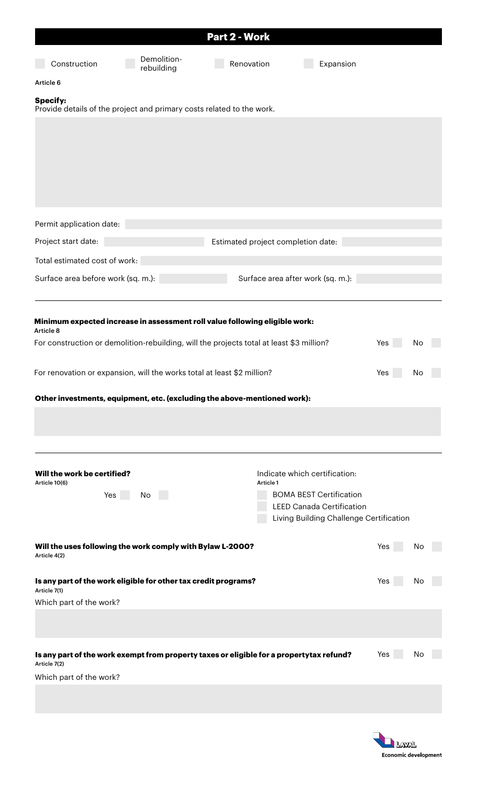|                                                                                                                                                                                                                                                                                                                                             |                           | Part 2 - Work                      |                                                                                                                                                |            |          |  |
|---------------------------------------------------------------------------------------------------------------------------------------------------------------------------------------------------------------------------------------------------------------------------------------------------------------------------------------------|---------------------------|------------------------------------|------------------------------------------------------------------------------------------------------------------------------------------------|------------|----------|--|
| Construction                                                                                                                                                                                                                                                                                                                                | Demolition-<br>rebuilding | Renovation                         | Expansion                                                                                                                                      |            |          |  |
| Article 6                                                                                                                                                                                                                                                                                                                                   |                           |                                    |                                                                                                                                                |            |          |  |
| <b>Specify:</b><br>Provide details of the project and primary costs related to the work.                                                                                                                                                                                                                                                    |                           |                                    |                                                                                                                                                |            |          |  |
|                                                                                                                                                                                                                                                                                                                                             |                           |                                    |                                                                                                                                                |            |          |  |
| Permit application date:                                                                                                                                                                                                                                                                                                                    |                           |                                    |                                                                                                                                                |            |          |  |
| Project start date:                                                                                                                                                                                                                                                                                                                         |                           | Estimated project completion date: |                                                                                                                                                |            |          |  |
| Total estimated cost of work:                                                                                                                                                                                                                                                                                                               |                           |                                    |                                                                                                                                                |            |          |  |
| Surface area before work (sq. m.):                                                                                                                                                                                                                                                                                                          |                           |                                    | Surface area after work (sq. m.):                                                                                                              |            |          |  |
| Minimum expected increase in assessment roll value following eligible work:<br>Article 8<br>For construction or demolition-rebuilding, will the projects total at least \$3 million?<br>For renovation or expansion, will the works total at least \$2 million?<br>Other investments, equipment, etc. (excluding the above-mentioned work): |                           |                                    |                                                                                                                                                | Yes<br>Yes | No<br>No |  |
| Will the work be certified?<br>Article 10(6)<br>Yes                                                                                                                                                                                                                                                                                         | No                        | Article 1                          | Indicate which certification:<br><b>BOMA BEST Certification</b><br><b>LEED Canada Certification</b><br>Living Building Challenge Certification |            |          |  |
| Will the uses following the work comply with Bylaw L-2000?<br>Article 4(2)                                                                                                                                                                                                                                                                  |                           |                                    |                                                                                                                                                | Yes        | No       |  |
| Is any part of the work eligible for other tax credit programs?<br>Article 7(1)<br>Which part of the work?                                                                                                                                                                                                                                  |                           |                                    |                                                                                                                                                | Yes        | No       |  |
|                                                                                                                                                                                                                                                                                                                                             |                           |                                    |                                                                                                                                                |            |          |  |
| Is any part of the work exempt from property taxes or eligible for a propertytax refund?<br>Article 7(2)<br>Which part of the work?                                                                                                                                                                                                         |                           |                                    |                                                                                                                                                | Yes        | No       |  |
|                                                                                                                                                                                                                                                                                                                                             |                           |                                    |                                                                                                                                                |            |          |  |